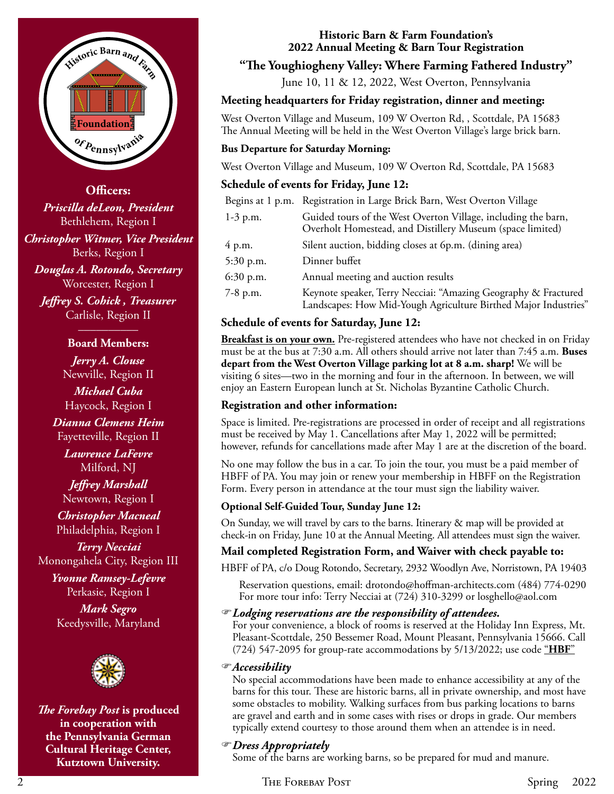

**Officers:** *Priscilla deLeon, President* Bethlehem, Region I *Christopher Witmer, Vice President* Berks, Region I *Douglas A. Rotondo, Secretary* Worcester, Region I

*Jeffrey S. Cohick , Treasurer* Carlisle, Region II \_\_\_\_\_\_\_\_\_\_

#### **Board Members:**

*Jerry A. Clouse* Newville, Region II *Michael Cuba* Haycock, Region I *Dianna Clemens Heim* Fayetteville, Region II *Lawrence LaFevre* Milford, NJ *Jeffrey Marshall*

Newtown, Region I

*Christopher Macneal* Philadelphia, Region I

*Terry Necciai* Monongahela City, Region III

*Yvonne Ramsey-Lefevre* Perkasie, Region I

*Mark Segro* Keedysville, Maryland



*The Forebay Post* **is produced in cooperation with the Pennsylvania German Cultural Heritage Center, Kutztown University.**

#### **Historic Barn & Farm Foundation's 2022 Annual Meeting & Barn Tour Registration**

# **"The Youghiogheny Valley: Where Farming Fathered Industry"**

June 10, 11 & 12, 2022, West Overton, Pennsylvania

## **Meeting headquarters for Friday registration, dinner and meeting:**

West Overton Village and Museum, 109 W Overton Rd, , Scottdale, PA 15683 The Annual Meeting will be held in the West Overton Village's large brick barn.

#### **Bus Departure for Saturday Morning:**

West Overton Village and Museum, 109 W Overton Rd, Scottdale, PA 15683

## **Schedule of events for Friday, June 12:**

|            | Begins at 1 p.m. Registration in Large Brick Barn, West Overton Village                                                           |
|------------|-----------------------------------------------------------------------------------------------------------------------------------|
| $1-3$ p.m. | Guided tours of the West Overton Village, including the barn,<br>Overholt Homestead, and Distillery Museum (space limited)        |
| 4 p.m.     | Silent auction, bidding closes at 6p.m. (dining area)                                                                             |
| 5:30 p.m.  | Dinner buffet                                                                                                                     |
| 6:30 p.m.  | Annual meeting and auction results                                                                                                |
| $7-8$ p.m. | Keynote speaker, Terry Necciai: "Amazing Geography & Fractured<br>Landscapes: How Mid-Yough Agriculture Birthed Major Industries" |

## **Schedule of events for Saturday, June 12:**

**Breakfast is on your own.** Pre-registered attendees who have not checked in on Friday must be at the bus at 7:30 a.m. All others should arrive not later than 7:45 a.m. **Buses depart from the West Overton Village parking lot at 8 a.m. sharp!** We will be visiting 6 sites—two in the morning and four in the afternoon. In between, we will enjoy an Eastern European lunch at St. Nicholas Byzantine Catholic Church.

# **Registration and other information:**

Space is limited. Pre-registrations are processed in order of receipt and all registrations must be received by May 1. Cancellations after May 1, 2022 will be permitted; however, refunds for cancellations made after May 1 are at the discretion of the board.

No one may follow the bus in a car. To join the tour, you must be a paid member of HBFF of PA. You may join or renew your membership in HBFF on the Registration Form. Every person in attendance at the tour must sign the liability waiver.

## **Optional Self-Guided Tour, Sunday June 12:**

On Sunday, we will travel by cars to the barns. Itinerary & map will be provided at check-in on Friday, June 10 at the Annual Meeting. All attendees must sign the waiver.

# **Mail completed Registration Form, and Waiver with check payable to:**

HBFF of PA, c/o Doug Rotondo, Secretary, 2932 Woodlyn Ave, Norristown, PA 19403

Reservation questions, email: drotondo@hoffman-architects.com (484) 774-0290 For more tour info: Terry Necciai at (724) 310-3299 or losghello@aol.com

## *Lodging reservations are the responsibility of attendees.*

For your convenience, a block of rooms is reserved at the Holiday Inn Express, Mt. Pleasant-Scottdale, 250 Bessemer Road, Mount Pleasant, Pennsylvania 15666. Call (724) 547-2095 for group-rate accommodations by 5/13/2022; use code "**HBF**"

#### *Accessibility*

No special accommodations have been made to enhance accessibility at any of the barns for this tour. These are historic barns, all in private ownership, and most have some obstacles to mobility. Walking surfaces from bus parking locations to barns are gravel and earth and in some cases with rises or drops in grade. Our members typically extend courtesy to those around them when an attendee is in need.

## *Dress Appropriately*

Some of the barns are working barns, so be prepared for mud and manure.